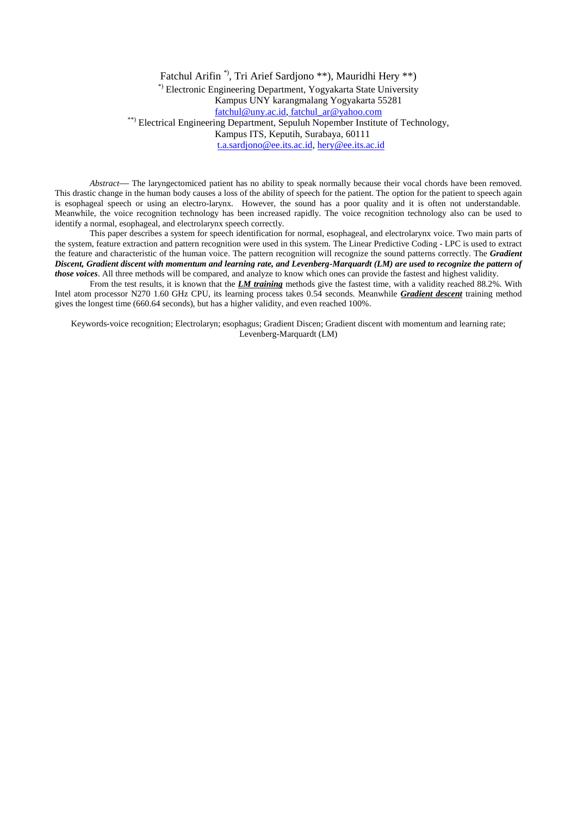Fatchul Arifin<sup>\*</sup>, Tri Arief Sardjono \*\*), Mauridhi Hery \*\*) \*) Electronic Engineering Department, Yogyakarta State University Kampus UNY karangmalang Yogyakarta 55281 fatchul@uny.ac.id, fatchul\_ar@yahoo.com \*\*) Electrical Engineering Department, Sepuluh Nopember Institute of Technology, Kampus ITS, Keputih, Surabaya, 60111 t.a.sardjono@ee.its.ac.id, hery@ee.its.ac.id

*Abstract*— The laryngectomiced patient has no ability to speak normally because their vocal chords have been removed. This drastic change in the human body causes a loss of the ability of speech for the patient. The option for the patient to speech again is esophageal speech or using an electro-larynx. However, the sound has a poor quality and it is often not understandable. Meanwhile, the voice recognition technology has been increased rapidly. The voice recognition technology also can be used to identify a normal, esophageal, and electrolarynx speech correctly.

This paper describes a system for speech identification for normal, esophageal, and electrolarynx voice. Two main parts of the system, feature extraction and pattern recognition were used in this system. The Linear Predictive Coding - LPC is used to extract the feature and characteristic of the human voice. The pattern recognition will recognize the sound patterns correctly. The *Gradient Discent, Gradient discent with momentum and learning rate, and Levenberg-Marquardt (LM) are used to recognize the pattern of those voices*. All three methods will be compared, and analyze to know which ones can provide the fastest and highest validity.

From the test results, it is known that the *LM training* methods give the fastest time, with a validity reached 88.2%. With Intel atom processor N270 1.60 GHz CPU, its learning process takes 0.54 seconds. Meanwhile *Gradient descent* training method gives the longest time (660.64 seconds), but has a higher validity, and even reached 100%.

Keywords-voice recognition; Electrolaryn; esophagus; Gradient Discen; Gradient discent with momentum and learning rate; Levenberg-Marquardt (LM)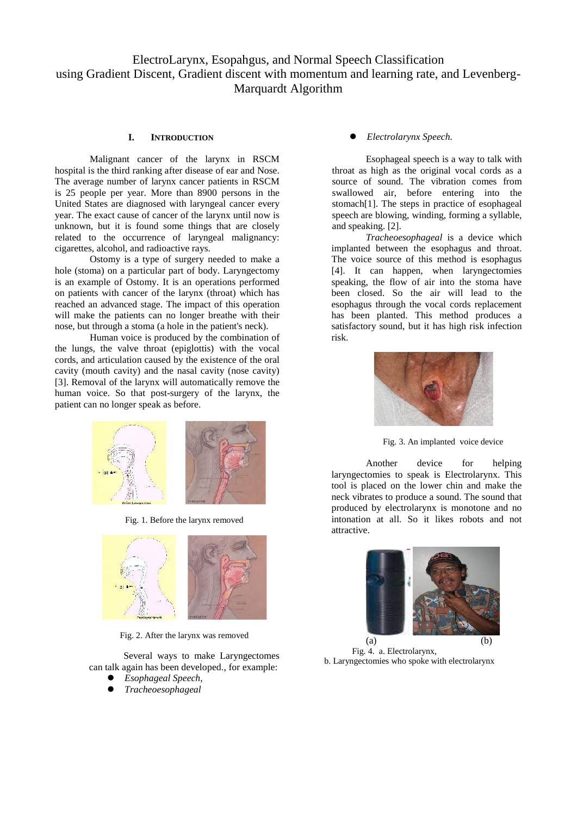ElectroLarynx, Esopahgus, and Normal Speech Classification using Gradient Discent, Gradient discent with momentum and learning rate, and Levenberg- Marquardt Algorithm

# **I. INTRODUCTION**

Malignant cancer of the larynx in RSCM hospital is the third ranking after disease of ear and Nose. The average number of larynx cancer patients in RSCM is 25 people per year. More than 8900 persons in the United States are diagnosed with laryngeal cancer every year. The exact cause of cancer of the larynx until now is unknown, but it is found some things that are closely related to the occurrence of laryngeal malignancy: cigarettes, alcohol, and radioactive rays.

Ostomy is a type of surgery needed to make a hole (stoma) on a particular part of body. Laryngectomy is an example of Ostomy. It is an operations performed on patients with cancer of the larynx (throat) which has reached an advanced stage. The impact of this operation will make the patients can no longer breathe with their nose, but through a stoma (a hole in the patient's neck).

Human voice is produced by the combination of the lungs, the valve throat (epiglottis) with the vocal cords, and articulation caused by the existence of the oral cavity (mouth cavity) and the nasal cavity (nose cavity) [3]. Removal of the larynx will automatically remove the human voice. So that post-surgery of the larynx, the patient can no longer speak as before.



Fig. 1. Before the larynx removed



Fig. 2. After the larynx was removed

Several ways to make Laryngectomes can talk again has been developed., for example:

- *Esophageal Speech,*
- *Tracheoesophageal*

*Electrolarynx Speech.*

Esophageal speech is a way to talk with throat as high as the original vocal cords as a source of sound. The vibration comes from swallowed air, before entering into the stomach[1]. The steps in practice of esophageal speech are blowing, winding, forming a syllable, and speaking. [2].

*Tracheoesophageal* is a device which implanted between the esophagus and throat. The voice source of this method is esophagus [4]. It can happen, when laryngectomies speaking, the flow of air into the stoma have been closed. So the air will lead to the esophagus through the vocal cords replacement has been planted. This method produces a satisfactory sound, but it has high risk infection risk.



Fig. 3. An implanted voice device

Another device for helping laryngectomies to speak is Electrolarynx. This tool is placed on the lower chin and make the neck vibrates to produce a sound. The sound that produced by electrolarynx is monotone and no intonation at all. So it likes robots and not attractive.



Fig. 4. a. Electrolarynx, b. Laryngectomies who spoke with electrolarynx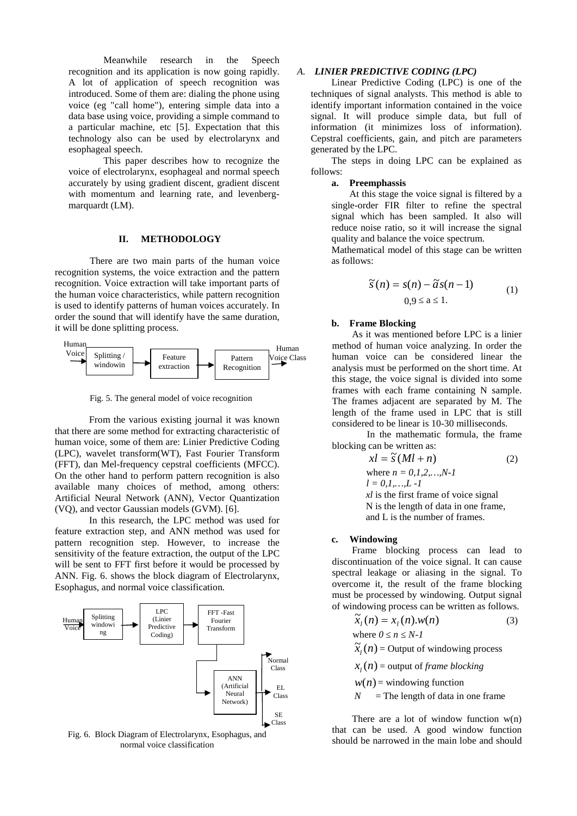Meanwhile research in the Speech recognition and its application is now going rapidly. A lot of application of speech recognition was introduced. Some of them are: dialing the phone using voice (eg "call home"), entering simple data into a data base using voice, providing a simple command to a particular machine, etc [5]. Expectation that this technology also can be used by electrolarynx and esophageal speech.

This paper describes how to recognize the voice of electrolarynx, esophageal and normal speech accurately by using gradient discent, gradient discent with momentum and learning rate, and levenberg marquardt (LM).

#### **II. METHODOLOGY**

There are two main parts of the human voice recognition systems, the voice extraction and the pattern recognition. Voice extraction will take important parts of the human voice characteristics, while pattern recognition is used to identify patterns of human voices accurately. In order the sound that will identify have the same duration, it will be done splitting process.



Fig. 5. The general model of voice recognition

From the various existing journal it was known that there are some method for extracting characteristic of human voice, some of them are: Linier Predictive Coding (LPC), wavelet transform(WT), Fast Fourier Transform (FFT), dan Mel-frequency cepstral coefficients (MFCC). On the other hand to perform pattern recognition is also available many choices of method, among others: Artificial Neural Network (ANN), Vector Quantization (VQ), and vector Gaussian models (GVM). [6].

In this research, the LPC method was used for feature extraction step, and ANN method was used for pattern recognition step. However, to increase the sensitivity of the feature extraction, the output of the LPC will be sent to FFT first before it would be processed by ANN. Fig. 6. shows the block diagram of Electrolarynx, Esophagus, and normal voice classification.



Fig. 6. Block Diagram of Electrolarynx, Esophagus, and normal voice classification

#### *A. LINIER PREDICTIVE CODING (LPC)*

Linear Predictive Coding (LPC) is one of the techniques of signal analysts. This method is able to identify important information contained in the voice signal. It will produce simple data, but full of information (it minimizes loss of information). Cepstral coefficients, gain, and pitch are parameters generated by the LPC.

The steps in doing LPC can be explained as follows:

#### **a. Preemphassis**

At this stage the voice signal is filtered by a single-order FIR filter to refine the spectral signal which has been sampled. It also will reduce noise ratio, so it will increase the signal quality and balance the voice spectrum.

Mathematical model of this stage can be written as follows:

$$
\widetilde{s}(n) = s(n) - \widetilde{a}s(n-1) \tag{1}
$$
  
0,9 a 1.

#### **b. Frame Blocking**

As it was mentioned before LPC is a linier method of human voice analyzing. In order the human voice can be considered linear the analysis must be performed on the short time. At this stage, the voice signal is divided into some frames with each frame containing N sample. The frames adjacent are separated by M. The length of the frame used in LPC that is still considered to be linear is 10-30 milliseconds.

In the mathematic formula, the frame blocking can be written as:

$$
x = \tilde{s} (Ml + n)
$$
 (2)  
where  $n = 0, 1, 2, ..., N-1$   
 $l = 0, 1, ..., L-1$   
 $xl$  is the first frame of voice signal  
N is the length of data in one frame,  
and L is the number of frames.

**c. Windowing**

Frame blocking process can lead to discontinuation of the voice signal. It can cause spectral leakage or aliasing in the signal. To overcome it, the result of the frame blocking must be processed by windowing. Output signal of windowing process can be written as follows.

$$
\widetilde{x}_l(n) = x_l(n) . w(n) \tag{3}
$$

where  $0 \quad n \quad N-1$ 

 $\widetilde{x}_i(n)$  = Output of windowing process

 $x_l(n)$  = output of *frame blocking* 

 $w(n)$  = windowing function

 $N =$ The length of data in one frame

There are a lot of window function  $w(n)$ that can be used. A good window function should be narrowed in the main lobe and should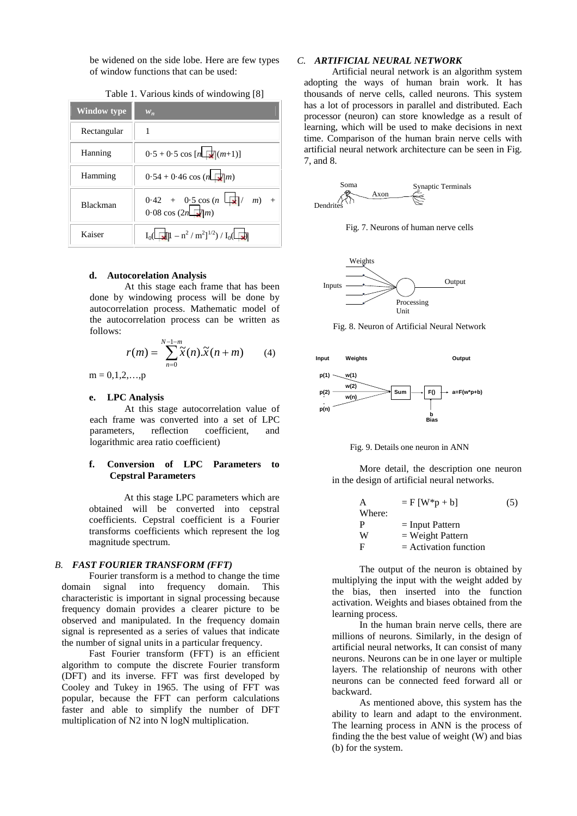be widened on the side lobe. Here are few types of window functions that can be used:

| Window type     | $W_n$                                                                  |
|-----------------|------------------------------------------------------------------------|
| Rectangular     |                                                                        |
| Hanning         | $0.5 + 0.5 \cos [n \Box (m+1)]$                                        |
| Hamming         | $0.54 + 0.46 \cos(n \Box m)$                                           |
| <b>Blackman</b> | $0.42 + 0.5 \cos(n \ln \sqrt{x})$<br>$m$ ) +<br>$0.08 \cos(2n \Box m)$ |
| Kaiser          | $I_0(\Box \Box \parallel -n^2/m^2)^{1/2}$ / $I_0(\Box \Box)$           |

# Table 1. Various kinds of windowing [8]

# **d. Autocorelation Analysis**

At this stage each frame that has been done by windowing process will be done by autocorrelation process. Mathematic model of the autocorrelation process can be written as follows:

$$
r(m) = \sum_{n=0}^{N-1-m} \widetilde{x}(n) \cdot \widetilde{x}(n+m)
$$
 (4) Input Weights

 $m = 0, 1, 2, \ldots, p$ 

### **e. LPC Analysis**

At this stage autocorrelation value of each frame was converted into a set of LPC parameters, reflection coefficient, and logarithmic area ratio coefficient)

# **f. Conversion of LPC Parameters to Cepstral Parameters**

At this stage LPC parameters which are obtained will be converted into cepstral coefficients. Cepstral coefficient is a Fourier transforms coefficients which represent the log magnitude spectrum.

#### *B. FAST FOURIER TRANSFORM (FFT)*

Fourier transform is a method to change the time domain signal into frequency domain. This characteristic is important in signal processing because frequency domain provides a clearer picture to be observed and manipulated. In the frequency domain signal is represented as a series of values that indicate the number of signal units in a particular frequency.

Fast Fourier transform (FFT) is an efficient algorithm to compute the discrete Fourier transform (DFT) and its inverse. FFT was first developed by Cooley and Tukey in 1965. The using of FFT was popular, because the FFT can perform calculations faster and able to simplify the number of DFT multiplication of N2 into N logN multiplication.

#### *C. ARTIFICIAL NEURAL NETWORK*

Artificial neural network is an algorithm system adopting the ways of human brain work. It has thousands of nerve cells, called neurons. This system has a lot of processors in parallel and distributed. Each processor (neuron) can store knowledge as a result of learning, which will be used to make decisions in next time. Comparison of the human brain nerve cells with artificial neural network architecture can be seen in Fig. 7, and 8.



Fig. 7. Neurons of human nerve cells



Fig. 8. Neuron of Artificial Neural Network



Fig. 9. Details one neuron in ANN

More detail, the description one neuron in the design of artificial neural networks.

| А      | $=$ F [W*p + b]         | (5) |
|--------|-------------------------|-----|
| Where: |                         |     |
| P      | $=$ Input Pattern       |     |
| W      | $=$ Weight Pattern      |     |
| F      | $=$ Activation function |     |

The output of the neuron is obtained by multiplying the input with the weight added by the bias, then inserted into the function activation. Weights and biases obtained from the learning process.

In the human brain nerve cells, there are millions of neurons. Similarly, in the design of artificial neural networks, It can consist of many neurons. Neurons can be in one layer or multiple layers. The relationship of neurons with other neurons can be connected feed forward all or backward.

As mentioned above, this system has the ability to learn and adapt to the environment. The learning process in ANN is the process of finding the the best value of weight (W) and bias (b) for the system.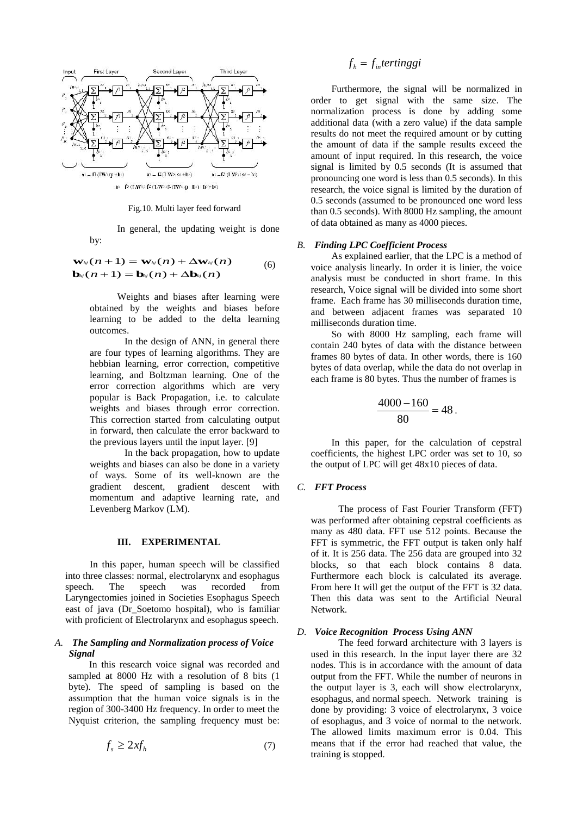

Fig.10. Multi layer feed forward

In general, the updating weight is done by:

 $\mathbf{w}_{\mathcal{N}}(n+1) = \mathbf{w}_{\mathcal{N}}(n) + \Delta \mathbf{w}_{\mathcal{N}}(n)$  (6) As explained earlie<br>  $\mathbf{b}_{\mathcal{N}}(n+1) = \mathbf{b}_{\mathcal{N}}(n) + \Delta \mathbf{b}_{\mathcal{N}}(n)$  (6) voice analysis linearly.<br>
analysis must be conductively (6)

Weights and biases after learning were obtained by the weights and biases before learning to be added to the delta learning outcomes.

In the design of ANN, in general there are four types of learning algorithms. They are hebbian learning, error correction, competitive learning, and Boltzman learning. One of the error correction algorithms which are very popular is Back Propagation, i.e. to calculate weights and biases through error correction. This correction started from calculating output in forward, then calculate the error backward to the previous layers until the input layer. [9]

In the back propagation, how to update weights and biases can also be done in a variety of ways. Some of its well-known are the gradient descent, gradient descent with momentum and adaptive learning rate, and Levenberg Markov (LM).

#### **III. EXPERIMENTAL**

In this paper, human speech will be classified into three classes: normal, electrolarynx and esophagus speech. The speech was recorded from Laryngectomies joined in Societies Esophagus Speech east of java (Dr\_Soetomo hospital), who is familiar with proficient of Electrolarynx and esophagus speech.

#### *A. The Sampling and Normalization process of Voice Signal*

In this research voice signal was recorded and sampled at 8000 Hz with a resolution of 8 bits (1 byte). The speed of sampling is based on the assumption that the human voice signals is in the region of 300-3400 Hz frequency. In order to meet the Nyquist criterion, the sampling frequency must be:

$$
f_s \ge 2xf_h \tag{7}
$$

# $f_h = f_{in}$  *tertinggi*

Furthermore, the signal will be normalized in order to get signal with the same size. The normalization process is done by adding some additional data (with a zero value) if the data sample results do not meet the required amount or by cutting the amount of data if the sample results exceed the amount of input required. In this research, the voice signal is limited by 0.5 seconds (It is assumed that pronouncing one word is less than 0.5 seconds). In this research, the voice signal is limited by the duration of 0.5 seconds (assumed to be pronounced one word less than 0.5 seconds). With 8000 Hz sampling, the amount of data obtained as many as 4000 pieces.

#### *B. Finding LPC Coefficient Process*

 $\mathbf{w}_{kj}(n+1) = \mathbf{w}_{kj}(n) + \Delta \mathbf{w}_{kj}(n)$  (6) As explained earlier, that the LPC  $\Delta \mathbf{w}_{\mathcal{N}}(n)$  As explained earlier, that the LPC is a method of  $\Delta$ **b**<sub> $\omega$ </sub>(*n*) (0) voice analysis linearly. In order it is linier, the voice analysis must be conducted in short frame. In this voice analysis linearly. In order it is linier, the voice research, Voice signal will be divided into some short frame. Each frame has 30 milliseconds duration time, and between adjacent frames was separated 10 milliseconds duration time.

> So with 8000 Hz sampling, each frame will contain 240 bytes of data with the distance between frames 80 bytes of data. In other words, there is 160 bytes of data overlap, while the data do not overlap in each frame is 80 bytes. Thus the number of frames is

$$
\frac{4000 - 160}{80} = 48.
$$

In this paper, for the calculation of cepstral coefficients, the highest LPC order was set to 10, so the output of LPC will get 48x10 pieces of data.

# *C. FFT Process*

The process of Fast Fourier Transform (FFT) was performed after obtaining cepstral coefficients as many as 480 data. FFT use 512 points. Because the FFT is symmetric, the FFT output is taken only half of it. It is 256 data. The 256 data are grouped into 32 blocks, so that each block contains 8 data. Furthermore each block is calculated its average. From here It will get the output of the FFT is 32 data. Then this data was sent to the Artificial Neural Network.

# *D. Voice Recognition Process Using ANN*

The feed forward architecture with 3 layers is used in this research. In the input layer there are 32 nodes. This is in accordance with the amount of data output from the FFT. While the number of neurons in the output layer is 3, each will show electrolarynx, esophagus, and normal speech. Network training is done by providing: 3 voice of electrolarynx, 3 voice of esophagus, and 3 voice of normal to the network. The allowed limits maximum error is 0.04. This means that if the error had reached that value, the training is stopped.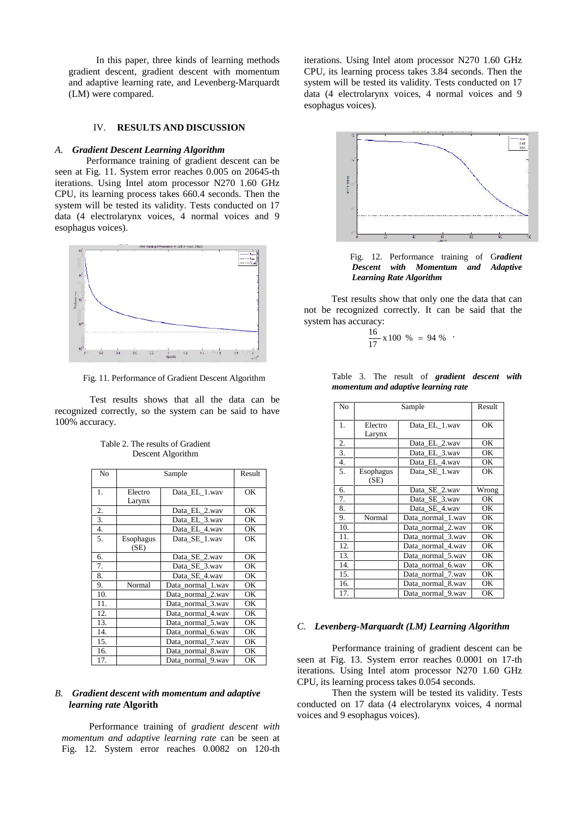In this paper, three kinds of learning methods gradient descent, gradient descent with momentum and adaptive learning rate, and Levenberg-Marquardt (LM) were compared.

### IV. **RESULTS AND DISCUSSION**

#### *A. Gradient Descent Learning Algorithm*

Performance training of gradient descent can be seen at Fig. 11. System error reaches 0.005 on 20645-th iterations. Using Intel atom processor N270 1.60 GHz CPU, its learning process takes 660.4 seconds. Then the system will be tested its validity. Tests conducted on 17 data (4 electrolarynx voices, 4 normal voices and 9 esophagus voices).



Fig. 11. Performance of Gradient Descent Algorithm

Test results shows that all the data can be recognized correctly, so the system can be said to have 100% accuracy.

| No               |                          | Result            |     |
|------------------|--------------------------|-------------------|-----|
| 1.               | Electro<br>Larynx        | Data EL 1.wav     | OK  |
| 2.               |                          | Data EL 2.way     | OK  |
| 3.               |                          | Data EL 3.wav     | ОK  |
| $\overline{4}$ . |                          | Data EL 4.wav     | OK  |
| 5.               | <b>Esophagus</b><br>(SE) | Data SE 1.wav     | OК  |
| 6.               |                          | Data_SE_2.wav     | OK  |
| 7.               |                          | Data SE 3.wav     | OK  |
| 8.               |                          | Data SE 4.wav     | OK  |
| 9.               | Normal                   | Data normal 1.wav | OK. |
| 10.              |                          | Data normal 2.wav | OK  |
| 11.              |                          | Data normal 3.wav | OK. |
| 12.              |                          | Data normal 4.wav | OK  |
| 13.              |                          | Data normal 5.wav | OK  |
| 14.              |                          | Data normal 6.wav | OK  |
| 15.              |                          | Data_normal_7.wav | OK  |
| 16.              |                          | Data normal 8.wav | OK  |
| 17.              |                          | Data normal 9.wav | ОK  |

| Table 2. The results of Gradient |
|----------------------------------|
| Descent Algorithm                |

# *B. Gradient descent with momentum and adaptive learning rate* **Algorith**

Performance training of *gradient descent with momentum and adaptive learning rate* can be seen at Fig. 12. System error reaches 0.0082 on 120-th iterations. Using Intel atom processor N270 1.60 GHz CPU, its learning process takes 3.84 seconds. Then the system will be tested its validity. Tests conducted on 17 data (4 electrolarynx voices, 4 normal voices and 9 esophagus voices).



Fig. 12. Performance training of G*radient with Momentum and Adaptive Learning Rate Algorithm*

Test results show that only one the data that can not be recognized correctly. It can be said that the system has accuracy:

$$
\frac{16}{17} \times 100 \% = 94 \% .
$$

|  |  | Table 3. The result of <i>gradient descent with</i> |  |  |
|--|--|-----------------------------------------------------|--|--|
|  |  | momentum and adaptive learning rate                 |  |  |

| No  |                  | Result            |       |
|-----|------------------|-------------------|-------|
| 1.  | Electro          | Data EL 1.wav     | ОK    |
|     | Larynx           |                   |       |
| 2.  |                  | Data EL 2.way     | OK    |
| 3.  |                  | Data EL 3.wav     | OК    |
| 4.  |                  | Data EL 4.wav     | OK    |
| 5.  | <b>Esophagus</b> | Data SE 1.wav     | OК    |
|     | (SE)             |                   |       |
| 6.  |                  | Data SE 2.wav     | Wrong |
| 7.  |                  | Data SE 3.wav     | OK    |
| 8.  |                  | Data SE 4.wav     | OК    |
| 9.  | Normal           | Data normal 1.wav | OK    |
| 10. |                  | Data normal 2.wav | OK    |
| 11. |                  | Data_normal_3.wav | OК    |
| 12. |                  | Data_normal_4.wav | ОK    |
| 13. |                  | Data normal 5.wav | ОK    |
| 14. |                  | Data normal 6.wav | OK    |
| 15. |                  | Data normal 7.wav | OК    |
| 16. |                  | Data_normal_8.wav | OК    |
| 17. |                  | Data normal 9.wav | OK    |

#### *C. Levenberg-Marquardt (LM) Learning Algorithm*

Performance training of gradient descent can be seen at Fig. 13. System error reaches 0.0001 on 17-th iterations. Using Intel atom processor N270 1.60 GHz CPU, its learning process takes 0.054 seconds.

Then the system will be tested its validity. Tests conducted on 17 data (4 electrolarynx voices, 4 normal voices and 9 esophagus voices).